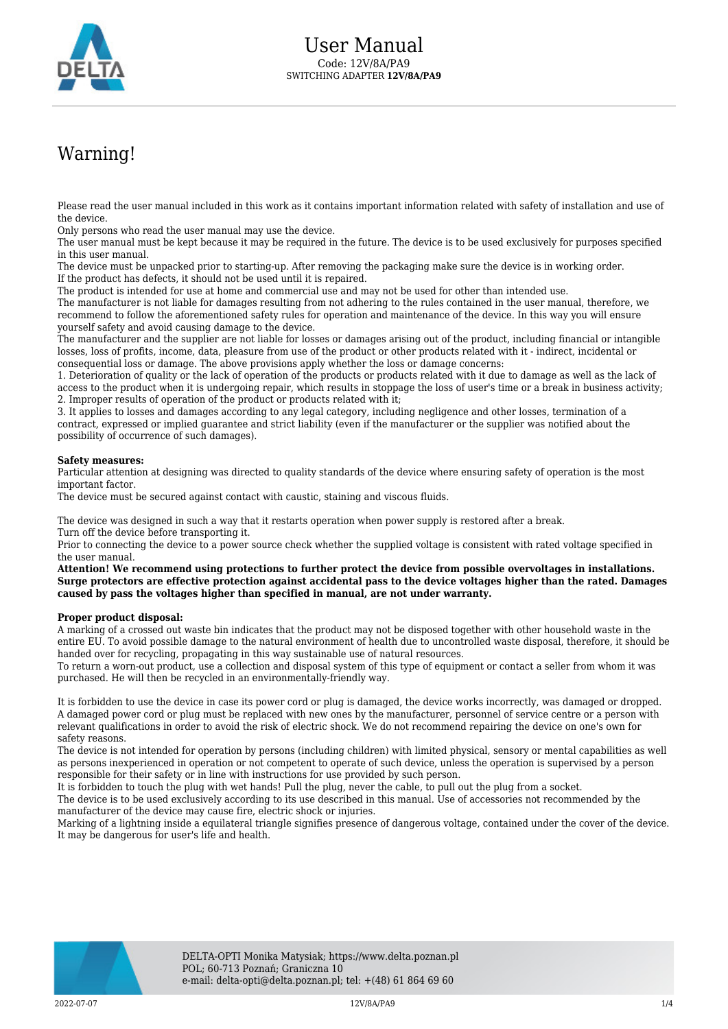

## Warning!

Please read the user manual included in this work as it contains important information related with safety of installation and use of the device.

Only persons who read the user manual may use the device.

The user manual must be kept because it may be required in the future. The device is to be used exclusively for purposes specified in this user manual.

The device must be unpacked prior to starting-up. After removing the packaging make sure the device is in working order. If the product has defects, it should not be used until it is repaired.

The product is intended for use at home and commercial use and may not be used for other than intended use.

The manufacturer is not liable for damages resulting from not adhering to the rules contained in the user manual, therefore, we recommend to follow the aforementioned safety rules for operation and maintenance of the device. In this way you will ensure yourself safety and avoid causing damage to the device.

The manufacturer and the supplier are not liable for losses or damages arising out of the product, including financial or intangible losses, loss of profits, income, data, pleasure from use of the product or other products related with it - indirect, incidental or consequential loss or damage. The above provisions apply whether the loss or damage concerns:

1. Deterioration of quality or the lack of operation of the products or products related with it due to damage as well as the lack of access to the product when it is undergoing repair, which results in stoppage the loss of user's time or a break in business activity; 2. Improper results of operation of the product or products related with it;

3. It applies to losses and damages according to any legal category, including negligence and other losses, termination of a contract, expressed or implied guarantee and strict liability (even if the manufacturer or the supplier was notified about the possibility of occurrence of such damages).

## **Safety measures:**

Particular attention at designing was directed to quality standards of the device where ensuring safety of operation is the most important factor.

The device must be secured against contact with caustic, staining and viscous fluids.

The device was designed in such a way that it restarts operation when power supply is restored after a break. Turn off the device before transporting it.

Prior to connecting the device to a power source check whether the supplied voltage is consistent with rated voltage specified in the user manual.

**Attention! We recommend using protections to further protect the device from possible overvoltages in installations. Surge protectors are effective protection against accidental pass to the device voltages higher than the rated. Damages caused by pass the voltages higher than specified in manual, are not under warranty.**

## **Proper product disposal:**

A marking of a crossed out waste bin indicates that the product may not be disposed together with other household waste in the entire EU. To avoid possible damage to the natural environment of health due to uncontrolled waste disposal, therefore, it should be handed over for recycling, propagating in this way sustainable use of natural resources.

To return a worn-out product, use a collection and disposal system of this type of equipment or contact a seller from whom it was purchased. He will then be recycled in an environmentally-friendly way.

It is forbidden to use the device in case its power cord or plug is damaged, the device works incorrectly, was damaged or dropped. A damaged power cord or plug must be replaced with new ones by the manufacturer, personnel of service centre or a person with relevant qualifications in order to avoid the risk of electric shock. We do not recommend repairing the device on one's own for safety reasons.

The device is not intended for operation by persons (including children) with limited physical, sensory or mental capabilities as well as persons inexperienced in operation or not competent to operate of such device, unless the operation is supervised by a person responsible for their safety or in line with instructions for use provided by such person.

It is forbidden to touch the plug with wet hands! Pull the plug, never the cable, to pull out the plug from a socket.

The device is to be used exclusively according to its use described in this manual. Use of accessories not recommended by the manufacturer of the device may cause fire, electric shock or injuries.

Marking of a lightning inside a equilateral triangle signifies presence of dangerous voltage, contained under the cover of the device. It may be dangerous for user's life and health.

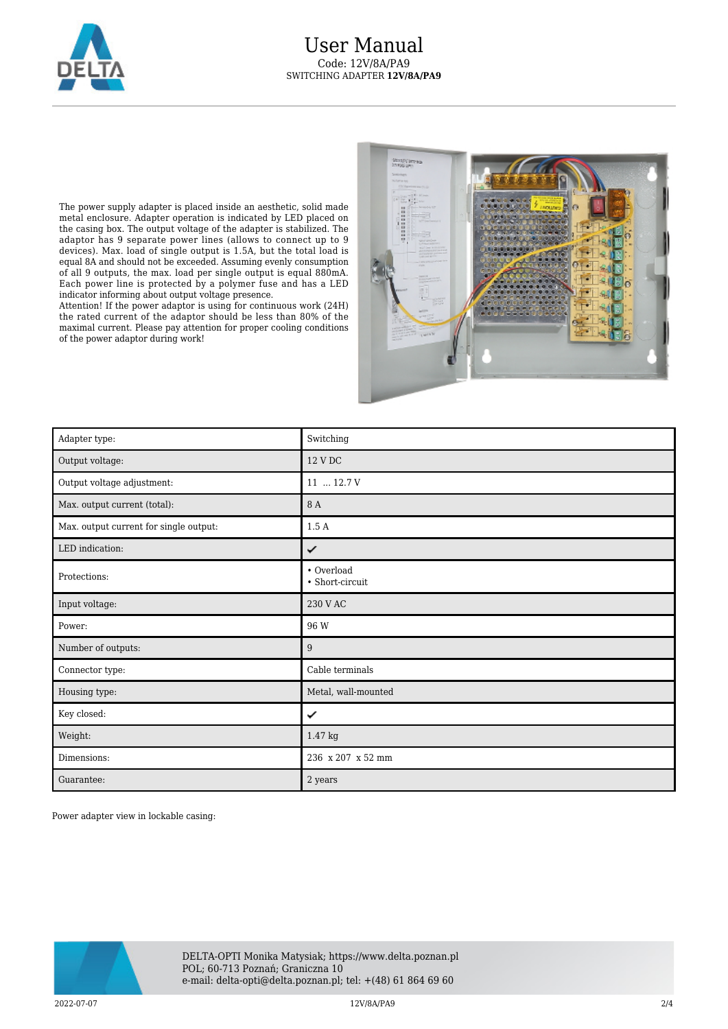

The power supply adapter is placed inside an aesthetic, solid made metal enclosure. Adapter operation is indicated by LED placed on the casing box. The output voltage of the adapter is stabilized. The adaptor has 9 separate power lines (allows to connect up to 9 devices). Max. load of single output is 1.5A, but the total load is equal 8A and should not be exceeded. Assuming evenly consumption of all 9 outputs, the max. load per single output is equal 880mA. Each power line is protected by a polymer fuse and has a LED indicator informing about output voltage presence.

Attention! If the power adaptor is using for continuous work (24H) the rated current of the adaptor should be less than 80% of the maximal current. Please pay attention for proper cooling conditions of the power adaptor during work!



| Adapter type:                          | Switching                     |
|----------------------------------------|-------------------------------|
| Output voltage:                        | 12 V DC                       |
| Output voltage adjustment:             | 11  12.7 V                    |
| Max. output current (total):           | 8 A                           |
| Max. output current for single output: | 1.5A                          |
| LED indication:                        | ✓                             |
| Protections:                           | • Overload<br>• Short-circuit |
| Input voltage:                         | 230 V AC                      |
| Power:                                 | 96 W                          |
| Number of outputs:                     | 9                             |
| Connector type:                        | Cable terminals               |
| Housing type:                          | Metal, wall-mounted           |
| Key closed:                            | ✓                             |
| Weight:                                | 1.47 kg                       |
| Dimensions:                            | 236 x 207 x 52 mm             |
| Guarantee:                             | 2 years                       |

Power adapter view in lockable casing:

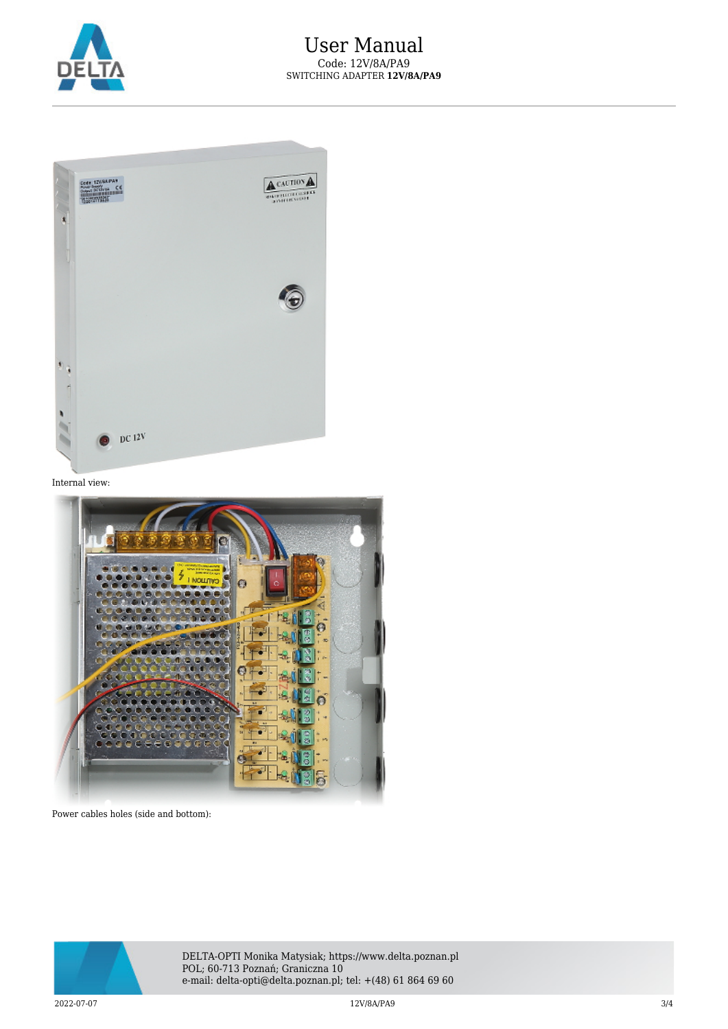



Internal view:



Power cables holes (side and bottom):



DELTA-OPTI Monika Matysiak; https://www.delta.poznan.pl POL; 60-713 Poznań; Graniczna 10 e-mail: delta-opti@delta.poznan.pl; tel: +(48) 61 864 69 60

 $12V/8A/PA9$   $3/4$